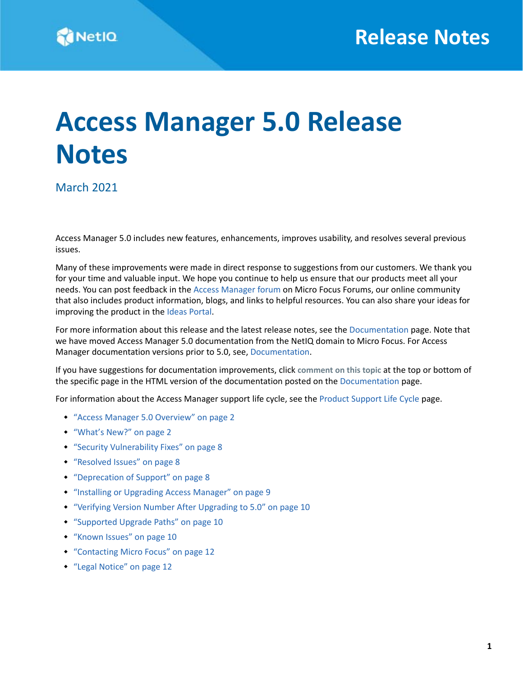# **Access Manager 5.0 Release Notes**

March 2021

Access Manager 5.0 includes new features, enhancements, improves usability, and resolves several previous issues.

Many of these improvements were made in direct response to suggestions from our customers. We thank you for your time and valuable input. We hope you continue to help us ensure that our products meet all your needs. You can post feedback in the [Access Manager forum](https://community.microfocus.com/t5/NetIQ-Access-Manager/ct-p/AccessManager) on Micro Focus Forums, our online community that also includes product information, blogs, and links to helpful resources. You can also share your ideas for improving the product in the [Ideas Portal.](https://community.microfocus.com/t5/Access-Manager-Idea-Exchange/idb-p/AccManIdeas)

For more information about this release and the latest release notes, see the [Documentation](https://www.microfocus.com/documentation/access-manager/) page. Note that we have moved Access Manager 5.0 documentation from the NetIQ domain to Micro Focus. For Access Manager documentation versions prior to 5.0, see, [Documentation.](http://www.netiq.com/documentation//access-manager-45)

If you have suggestions for documentation improvements, click **comment on this topic** at the top or bottom of the specific page in the HTML version of the documentation posted on the [Documentation](https://www.microfocus.com/documentation/access-manager/) page.

For information about the Access Manager support life cycle, see the [Product Support Life Cycle](https://www.microfocus.com/productlifecycle/?term=Access%20Manager) page.

- ["Access Manager 5.0 Overview" on page 2](#page-1-0)
- ["What's New?" on page 2](#page-1-1)
- ["Security Vulnerability Fixes" on page 8](#page-7-0)
- ["Resolved Issues" on page 8](#page-7-1)
- ["Deprecation of Support" on page 8](#page-7-2)
- ["Installing or Upgrading Access Manager" on page 9](#page-8-0)
- ["Verifying Version Number After Upgrading to 5.0" on page 10](#page-9-0)
- ["Supported Upgrade Paths" on page 10](#page-9-1)
- ["Known Issues" on page 10](#page-9-2)
- ["Contacting Micro Focus" on page 12](#page-11-0)
- ["Legal Notice" on page 12](#page-11-1)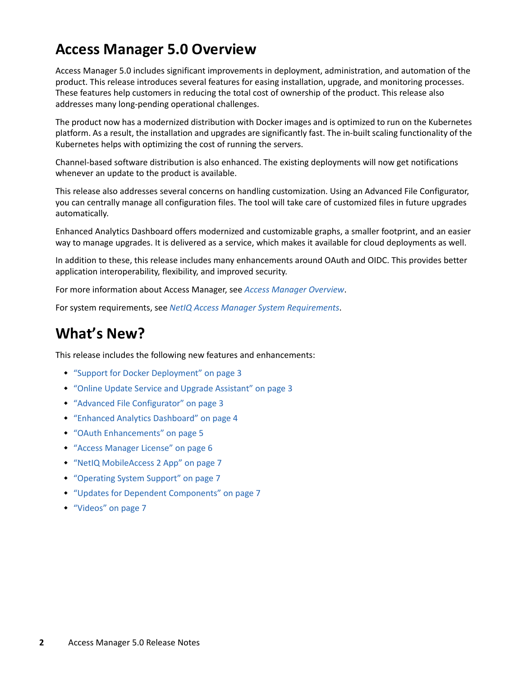### <span id="page-1-0"></span>**Access Manager 5.0 Overview**

Access Manager 5.0 includes significant improvements in deployment, administration, and automation of the product. This release introduces several features for easing installation, upgrade, and monitoring processes. These features help customers in reducing the total cost of ownership of the product. This release also addresses many long-pending operational challenges.

The product now has a modernized distribution with Docker images and is optimized to run on the Kubernetes platform. As a result, the installation and upgrades are significantly fast. The in-built scaling functionality of the Kubernetes helps with optimizing the cost of running the servers.

Channel-based software distribution is also enhanced. The existing deployments will now get notifications whenever an update to the product is available.

This release also addresses several concerns on handling customization. Using an Advanced File Configurator, you can centrally manage all configuration files. The tool will take care of customized files in future upgrades automatically.

Enhanced Analytics Dashboard offers modernized and customizable graphs, a smaller footprint, and an easier way to manage upgrades. It is delivered as a service, which makes it available for cloud deployments as well.

In addition to these, this release includes many enhancements around OAuth and OIDC. This provides better application interoperability, flexibility, and improved security.

For more information about Access Manager, see *[Access Manager Overview](https://www.microfocus.com/documentation/access-manager/5.0/pdfdoc/product-overview/product-overview.pdf#accessmanageroverview)*.

For system requirements, see *[NetIQ Access Manager System Requirements](https://www.microfocus.com/documentation/access-manager/5.0/pdfdoc/system-requirements/system-requirements.pdf#accessmanagertechinfo)*.

# <span id="page-1-1"></span>**What's New?**

This release includes the following new features and enhancements:

- ["Support for Docker Deployment" on page 3](#page-2-0)
- ["Online Update Service and Upgrade Assistant" on page 3](#page-2-1)
- ["Advanced File Configurator" on page 3](#page-2-2)
- ["Enhanced Analytics Dashboard" on page 4](#page-3-0)
- ["OAuth Enhancements" on page 5](#page-4-0)
- ["Access Manager License" on page 6](#page-5-0)
- ["NetIQ MobileAccess 2 App" on page 7](#page-6-0)
- ["Operating System Support" on page 7](#page-6-1)
- ["Updates for Dependent Components" on page 7](#page-6-2)
- ["Videos" on page 7](#page-6-3)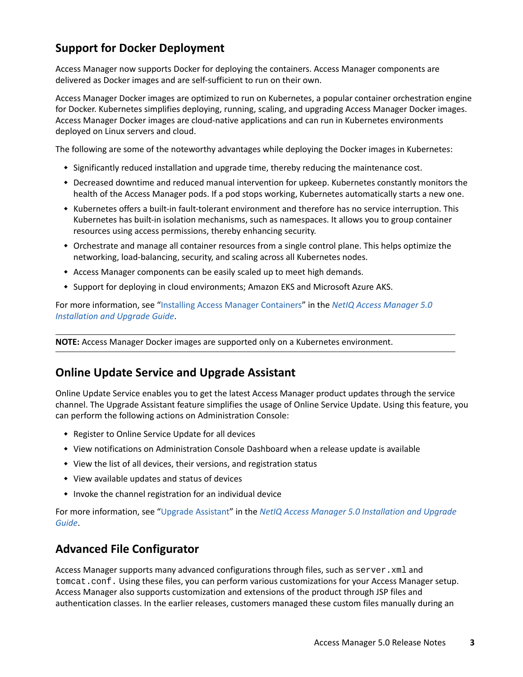### <span id="page-2-0"></span>**Support for Docker Deployment**

Access Manager now supports Docker for deploying the containers. Access Manager components are delivered as Docker images and are self-sufficient to run on their own.

Access Manager Docker images are optimized to run on Kubernetes, a popular container orchestration engine for Docker. Kubernetes simplifies deploying, running, scaling, and upgrading Access Manager Docker images. Access Manager Docker images are cloud-native applications and can run in Kubernetes environments deployed on Linux servers and cloud.

The following are some of the noteworthy advantages while deploying the Docker images in Kubernetes:

- Significantly reduced installation and upgrade time, thereby reducing the maintenance cost.
- Decreased downtime and reduced manual intervention for upkeep. Kubernetes constantly monitors the health of the Access Manager pods. If a pod stops working, Kubernetes automatically starts a new one.
- Kubernetes offers a built-in fault-tolerant environment and therefore has no service interruption. This Kubernetes has built-in isolation mechanisms, such as namespaces. It allows you to group container resources using access permissions, thereby enhancing security.
- Orchestrate and manage all container resources from a single control plane. This helps optimize the networking, load-balancing, security, and scaling across all Kubernetes nodes.
- Access Manager components can be easily scaled up to meet high demands.
- \* Support for deploying in cloud environments; Amazon EKS and Microsoft Azure AKS.

For more information, see ["Installing Access Manager Containers"](https://www.microfocus.com/documentation/access-manager/5.0/pdfdoc/install_upgrade/install_upgrade.pdf#hj567dgaj1) in the *[NetIQ Access Manager 5.0](https://www.microfocus.com/documentation/access-manager/5.0/pdfdoc/install_upgrade/install_upgrade.pdf#bookinfo)  [Installation and Upgrade Guide](https://www.microfocus.com/documentation/access-manager/5.0/pdfdoc/install_upgrade/install_upgrade.pdf#bookinfo)*.

**NOTE:** Access Manager Docker images are supported only on a Kubernetes environment.

#### <span id="page-2-1"></span>**Online Update Service and Upgrade Assistant**

Online Update Service enables you to get the latest Access Manager product updates through the service channel. The Upgrade Assistant feature simplifies the usage of Online Service Update. Using this feature, you can perform the following actions on Administration Console:

- Register to Online Service Update for all devices
- View notifications on Administration Console Dashboard when a release update is available
- View the list of all devices, their versions, and registration status
- View available updates and status of devices
- Invoke the channel registration for an individual device

For more information, see ["Upgrade Assistant"](https://www.microfocus.com/documentation/access-manager/5.0/pdfdoc/install_upgrade/install_upgrade.pdf#upgradeassistant) in the *[NetIQ Access Manager 5.0 Installation and Upgrade](https://www.microfocus.com/documentation/access-manager/5.0/pdfdoc/install_upgrade/install_upgrade.pdf#bookinfo)  [Guide](https://www.microfocus.com/documentation/access-manager/5.0/pdfdoc/install_upgrade/install_upgrade.pdf#bookinfo)*.

### <span id="page-2-2"></span>**Advanced File Configurator**

Access Manager supports many advanced configurations through files, such as server. xml and tomcat.conf. Using these files, you can perform various customizations for your Access Manager setup. Access Manager also supports customization and extensions of the product through JSP files and authentication classes. In the earlier releases, customers managed these custom files manually during an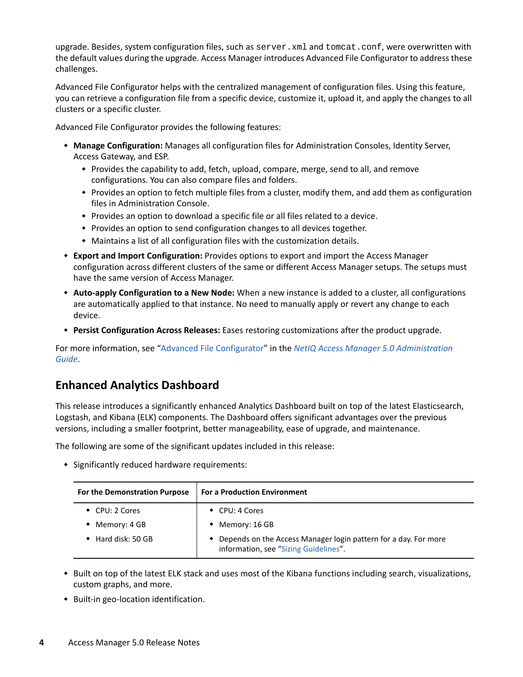upgrade. Besides, system configuration files, such as server. xml and tomcat.conf, were overwritten with the default values during the upgrade. Access Manager introduces Advanced File Configurator to address these challenges.

Advanced File Configurator helps with the centralized management of configuration files. Using this feature, you can retrieve a configuration file from a specific device, customize it, upload it, and apply the changes to all clusters or a specific cluster.

Advanced File Configurator provides the following features:

- **Manage Configuration:** Manages all configuration files for Administration Consoles, Identity Server, Access Gateway, and ESP.
	- Provides the capability to add, fetch, upload, compare, merge, send to all, and remove configurations. You can also compare files and folders.
	- Provides an option to fetch multiple files from a cluster, modify them, and add them as configuration files in Administration Console.
	- Provides an option to download a specific file or all files related to a device.
	- Provides an option to send configuration changes to all devices together.
	- Maintains a list of all configuration files with the customization details.
- **Export and Import Configuration:** Provides options to export and import the Access Manager configuration across different clusters of the same or different Access Manager setups. The setups must have the same version of Access Manager.
- **Auto-apply Configuration to a New Node:** When a new instance is added to a cluster, all configurations are automatically applied to that instance. No need to manually apply or revert any change to each device.
- **Persist Configuration Across Releases:** Eases restoring customizations after the product upgrade.

For more information, see ["Advanced File Configurator"](https://www.microfocus.com/documentation/access-manager/5.0/pdfdoc/admin/admin.pdf#advancedfileconfigurator) in the *[NetIQ Access Manager 5.0 Administration](https://www.microfocus.com/documentation/access-manager/5.0/pdfdoc/admin/admin.pdf#bookinfo)  [Guide](https://www.microfocus.com/documentation/access-manager/5.0/pdfdoc/admin/admin.pdf#bookinfo)*.

### <span id="page-3-0"></span>**Enhanced Analytics Dashboard**

This release introduces a significantly enhanced Analytics Dashboard built on top of the latest Elasticsearch, Logstash, and Kibana (ELK) components. The Dashboard offers significant advantages over the previous versions, including a smaller footprint, better manageability, ease of upgrade, and maintenance.

The following are some of the significant updates included in this release:

Significantly reduced hardware requirements:

| For the Demonstration Purpose | <b>For a Production Environment</b>                                                                        |
|-------------------------------|------------------------------------------------------------------------------------------------------------|
| $\bullet$ CPU: 2 Cores        | $\bullet$ CPU: 4 Cores                                                                                     |
| Memory: 4 GB                  | Memory: 16 GB<br>$\bullet$                                                                                 |
| $\bullet$ Hard disk: 50 GB    | • Depends on the Access Manager login pattern for a day. For more<br>information, see "Sizing Guidelines". |

- Built on top of the latest ELK stack and uses most of the Kibana functions including search, visualizations, custom graphs, and more.
- ◆ Built-in geo-location identification.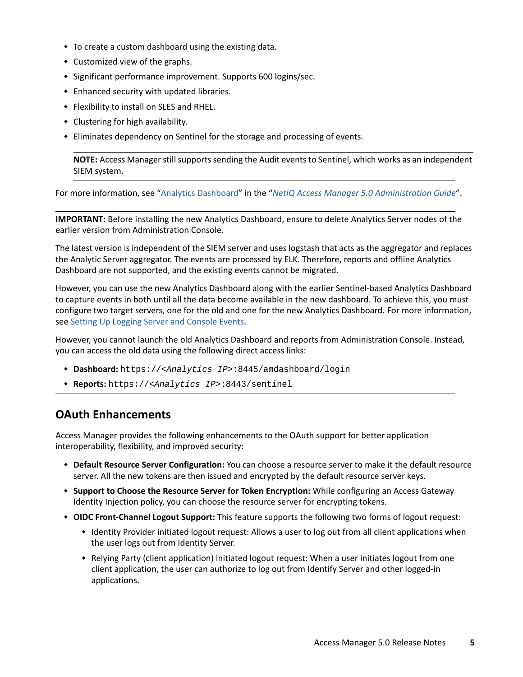- To create a custom dashboard using the existing data.
- Customized view of the graphs.
- Significant performance improvement. Supports 600 logins/sec.
- Enhanced security with updated libraries.
- Flexibility to install on SLES and RHEL.
- Clustering for high availability.
- Eliminates dependency on Sentinel for the storage and processing of events.

**NOTE:** Access Manager still supports sending the Audit events to Sentinel, which works as an independent SIEM system.

For more information, see ["Analytics Dashboard](https://www.microfocus.com/documentation/access-manager/5.0/pdfdoc/admin/admin.pdf#b1kyp92l)" in the "*[NetIQ Access Manager 5.0 Administration Guide](https://www.microfocus.com/documentation/access-manager/5.0/pdfdoc/admin/admin.pdf#bookinfo)*".

**IMPORTANT:** Before installing the new Analytics Dashboard, ensure to delete Analytics Server nodes of the earlier version from Administration Console.

The latest version is independent of the SIEM server and uses logstash that acts as the aggregator and replaces the Analytic Server aggregator. The events are processed by ELK. Therefore, reports and offline Analytics Dashboard are not supported, and the existing events cannot be migrated.

However, you can use the new Analytics Dashboard along with the earlier Sentinel-based Analytics Dashboard to capture events in both until all the data become available in the new dashboard. To achieve this, you must configure two target servers, one for the old and one for the new Analytics Dashboard. For more information, see [Setting Up Logging Server and Console Events.](https://www.microfocus.com/documentation/access-manager/5.0/pdfdoc/admin/admin.pdf#b63kqzr)

However, you cannot launch the old Analytics Dashboard and reports from Administration Console. Instead, you can access the old data using the following direct access links:

- **Dashboard:** https://*<Analytics IP>*:8445/amdashboard/login
- **Reports:** https://*<Analytics IP>*:8443/sentinel

### <span id="page-4-0"></span>**OAuth Enhancements**

Access Manager provides the following enhancements to the OAuth support for better application interoperability, flexibility, and improved security:

- **Default Resource Server Configuration:** You can choose a resource server to make it the default resource server. All the new tokens are then issued and encrypted by the default resource server keys.
- **Support to Choose the Resource Server for Token Encryption:** While configuring an Access Gateway Identity Injection policy, you can choose the resource server for encrypting tokens.
- **OIDC Front-Channel Logout Support:** This feature supports the following two forms of logout request:
	- Identity Provider initiated logout request: Allows a user to log out from all client applications when the user logs out from Identity Server.
	- Relying Party (client application) initiated logout request: When a user initiates logout from one client application, the user can authorize to log out from Identify Server and other logged-in applications.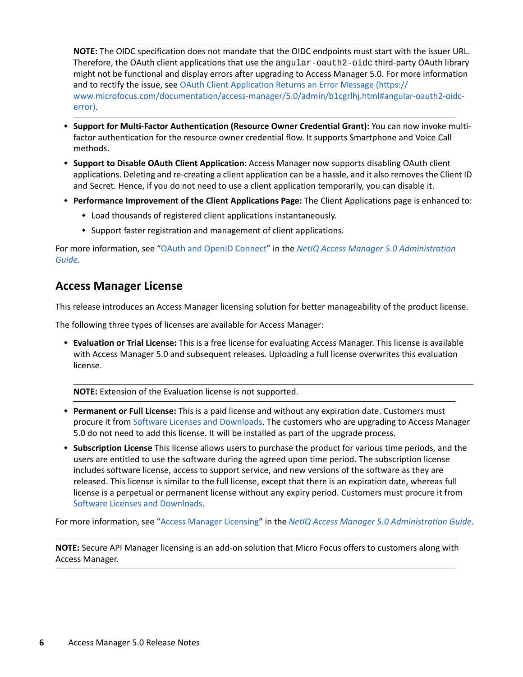**NOTE:** The OIDC specification does not mandate that the OIDC endpoints must start with the issuer URL. Therefore, the OAuth client applications that use the angular-oauth2-oidc third-party OAuth library might not be functional and display errors after upgrading to Access Manager 5.0. For more information and to rectify the issue, see [OAuth Client Application Returns an Error Message](https://www.microfocus.com/documentation/access-manager/5.0/admin/b1cgrlhj.html#angular-oauth2-oidc-error) (https:// www.microfocus.com/documentation/access-manager/5.0/admin/b1cgrlhj.html#angular-oauth2-oidcerror).

- **Support for Multi-Factor Authentication (Resource Owner Credential Grant):** You can now invoke multifactor authentication for the resource owner credential flow. It supports Smartphone and Voice Call methods.
- **Support to Disable OAuth Client Application:** Access Manager now supports disabling OAuth client applications. Deleting and re-creating a client application can be a hassle, and it also removes the Client ID and Secret. Hence, if you do not need to use a client application temporarily, you can disable it.
- **Performance Improvement of the Client Applications Page:** The Client Applications page is enhanced to:
	- Load thousands of registered client applications instantaneously.
	- Support faster registration and management of client applications.

For more information, see ["OAuth and OpenID Connect](https://www.microfocus.com/documentation/access-manager/5.0/pdfdoc/admin/admin.pdf#b1dj6b2f)" in the *[NetIQ Access Manager 5.0 Administration](https://www.microfocus.com/documentation/access-manager/5.0/pdfdoc/admin/admin.pdf#bookinfo)  [Guide](https://www.microfocus.com/documentation/access-manager/5.0/pdfdoc/admin/admin.pdf#bookinfo)*.

#### <span id="page-5-0"></span>**Access Manager License**

This release introduces an Access Manager licensing solution for better manageability of the product license.

The following three types of licenses are available for Access Manager:

 **Evaluation or Trial License:** This is a free license for evaluating Access Manager. This license is available with Access Manager 5.0 and subsequent releases. Uploading a full license overwrites this evaluation license.

**NOTE:** Extension of the Evaluation license is not supported.

- **Permanent or Full License:** This is a paid license and without any expiration date. Customers must procure it from [Software Licenses and Downloads](https://sld.microfocus.com/). The customers who are upgrading to Access Manager 5.0 do not need to add this license. It will be installed as part of the upgrade process.
- **Subscription License** This license allows users to purchase the product for various time periods, and the users are entitled to use the software during the agreed upon time period. The subscription license includes software license, access to support service, and new versions of the software as they are released. This license is similar to the full license, except that there is an expiration date, whereas full license is a perpetual or permanent license without any expiry period. Customers must procure it from [Software Licenses and Downloads](https://sld.microfocus.com/).

For more information, see "[Access Manager Licensing](https://www.microfocus.com/documentation/access-manager/5.0/pdfdoc/admin/admin.pdf#t4dujyzuvgnw)" in the *[NetIQ Access Manager 5.0 Administration Guide](https://www.microfocus.com/documentation/access-manager/5.0/pdfdoc/admin/admin.pdf#bookinfo)*.

**NOTE:** Secure API Manager licensing is an add-on solution that Micro Focus offers to customers along with Access Manager.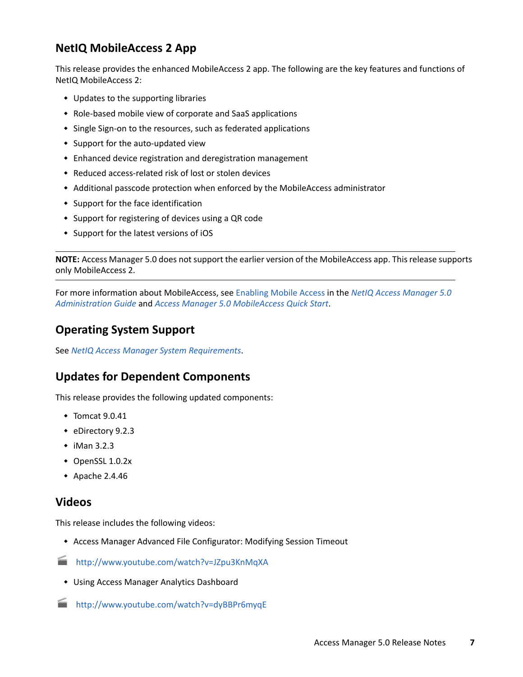### <span id="page-6-0"></span>**NetIQ MobileAccess 2 App**

This release provides the enhanced MobileAccess 2 app. The following are the key features and functions of NetIQ MobileAccess 2:

- Updates to the supporting libraries
- Role-based mobile view of corporate and SaaS applications
- Single Sign-on to the resources, such as federated applications
- Support for the auto-updated view
- Enhanced device registration and deregistration management
- Reduced access-related risk of lost or stolen devices
- Additional passcode protection when enforced by the MobileAccess administrator
- Support for the face identification
- Support for registering of devices using a QR code
- Support for the latest versions of iOS

**NOTE:** Access Manager 5.0 does not support the earlier version of the MobileAccess app. This release supports only MobileAccess 2.

For more information about MobileAccess, see [Enabling Mobile Access](https://www.microfocus.com/documentation/access-manager/5.0/pdfdoc/admin/admin.pdf#mobileaccess) in the *[NetIQ Access Manager 5.0](https://www.microfocus.com/documentation/access-manager/5.0/pdfdoc/admin/admin.pdf#bookinfo)  [Administration Guide](https://www.microfocus.com/documentation/access-manager/5.0/pdfdoc/admin/admin.pdf#bookinfo)* and *[Access Manager 5.0 MobileAccess Quick Start](https://www.microfocus.com/documentation/access-manager/5.0/pdfdoc/qs_mobile_users/qs_mobile_users.pdf#qsmobileusers)*.

#### <span id="page-6-1"></span>**Operating System Support**

See *[NetIQ Access Manager System Requirements](https://www.microfocus.com/documentation/access-manager/5.0/pdfdoc/system-requirements/system-requirements.pdf#accessmanagertechinfo)*.

### <span id="page-6-2"></span>**Updates for Dependent Components**

This release provides the following updated components:

- $\bullet$  Tomcat 9.0.41
- eDirectory 9.2.3
- $\bullet$  iMan 3.2.3
- OpenSSL 1.0.2x
- $\bullet$  Apache 2.4.46

#### <span id="page-6-3"></span>**Videos**

This release includes the following videos:

- Access Manager Advanced File Configurator: Modifying Session Timeout
- <http://www.youtube.com/watch?v=JZpu3KnMqXA>
- Using Access Manager Analytics Dashboard
- <http://www.youtube.com/watch?v=dyBBPr6myqE>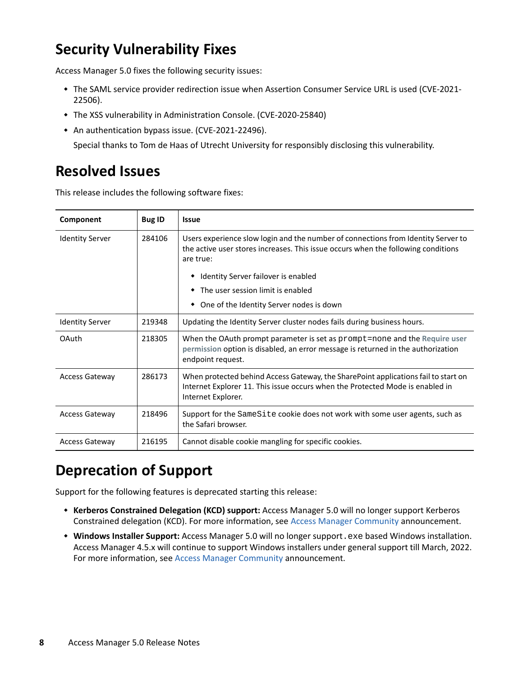# <span id="page-7-0"></span>**Security Vulnerability Fixes**

Access Manager 5.0 fixes the following security issues:

- \* The SAML service provider redirection issue when Assertion Consumer Service URL is used (CVE-2021-22506).
- The XSS vulnerability in Administration Console. (CVE-2020-25840)
- An authentication bypass issue. (CVE-2021-22496).

Special thanks to Tom de Haas of Utrecht University for responsibly disclosing this vulnerability.

### <span id="page-7-1"></span>**Resolved Issues**

This release includes the following software fixes:

| Component              | <b>Bug ID</b> | <b>Issue</b>                                                                                                                                                                                  |  |
|------------------------|---------------|-----------------------------------------------------------------------------------------------------------------------------------------------------------------------------------------------|--|
| <b>Identity Server</b> | 284106        | Users experience slow login and the number of connections from Identity Server to<br>the active user stores increases. This issue occurs when the following conditions<br>are true:           |  |
|                        |               | Identity Server failover is enabled                                                                                                                                                           |  |
|                        |               | The user session limit is enabled                                                                                                                                                             |  |
|                        |               | One of the Identity Server nodes is down<br>٠                                                                                                                                                 |  |
| <b>Identity Server</b> | 219348        | Updating the Identity Server cluster nodes fails during business hours.                                                                                                                       |  |
| <b>OAuth</b>           | 218305        | When the OAuth prompt parameter is set as $\text{prompt}$ =none and the Require user<br>permission option is disabled, an error message is returned in the authorization<br>endpoint request. |  |
| <b>Access Gateway</b>  | 286173        | When protected behind Access Gateway, the SharePoint applications fail to start on<br>Internet Explorer 11. This issue occurs when the Protected Mode is enabled in<br>Internet Explorer.     |  |
| <b>Access Gateway</b>  | 218496        | Support for the SameSite cookie does not work with some user agents, such as<br>the Safari browser.                                                                                           |  |
| <b>Access Gateway</b>  | 216195        | Cannot disable cookie mangling for specific cookies.                                                                                                                                          |  |

### <span id="page-7-2"></span>**Deprecation of Support**

Support for the following features is deprecated starting this release:

- **Kerberos Constrained Delegation (KCD) support:** Access Manager 5.0 will no longer support Kerberos Constrained delegation (KCD). For more information, see [Access Manager Community](https://community.microfocus.com/t5/Access-Manager-Tips-Information/KCD-support-with-Access-Manager-5/ta-p/2865410) announcement.
- **Windows Installer Support:** Access Manager 5.0 will no longer support.exe based Windows installation. Access Manager 4.5.x will continue to support Windows installers under general support till March, 2022. For more information, see [Access Manager Community](https://community.microfocus.com/t5/Access-Manager-Tips-Information/Windows-Support-changes-with-Access-Manager-5/ta-p/2865406) announcement.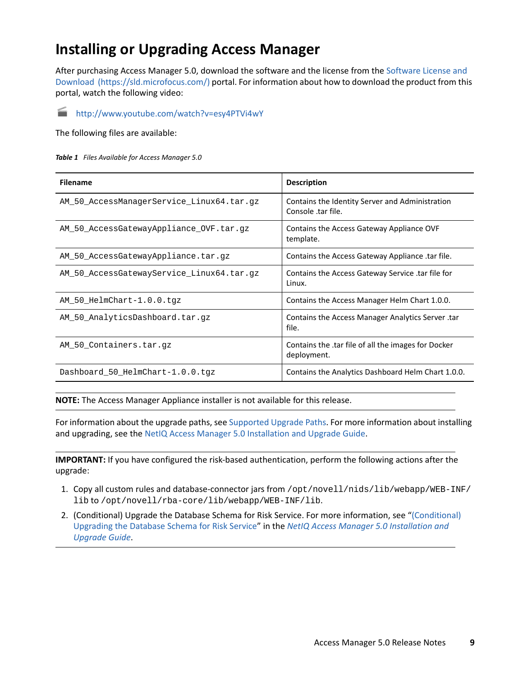## <span id="page-8-0"></span>**Installing or Upgrading Access Manager**

After purchasing Access Manager 5.0, download the software and the license from th[e Software License and](https://sld.microfocus.com/)  [Download](https://sld.microfocus.com/) (https://sld.microfocus.com/) portal. For information about how to download the product from this portal, watch the following video:

<http://www.youtube.com/watch?v=esy4PTVi4wY>

The following files are available:

| Table 1 Files Available for Access Manager 5.0 |  |  |
|------------------------------------------------|--|--|
|                                                |  |  |

| <b>Filename</b>                           | <b>Description</b>                                                    |
|-------------------------------------------|-----------------------------------------------------------------------|
| AM 50 AccessManagerService Linux64.tar.gz | Contains the Identity Server and Administration<br>Console .tar file. |
| AM_50_AccessGatewayAppliance_OVF.tar.gz   | Contains the Access Gateway Appliance OVF<br>template.                |
| AM 50 AccessGatewayAppliance.tar.qz       | Contains the Access Gateway Appliance .tar file.                      |
| AM 50 AccessGatewayService Linux64.tar.qz | Contains the Access Gateway Service .tar file for<br>Linux.           |
| AM 50 HelmChart-1.0.0.tqz                 | Contains the Access Manager Helm Chart 1.0.0.                         |
| AM 50 AnalyticsDashboard.tar.qz           | Contains the Access Manager Analytics Server.tar<br>file.             |
| AM 50 Containers.tar.qz                   | Contains the .tar file of all the images for Docker<br>deployment.    |
| Dashboard 50 HelmChart-1.0.0.tgz          | Contains the Analytics Dashboard Helm Chart 1.0.0.                    |

**NOTE:** The Access Manager Appliance installer is not available for this release.

For information about the upgrade paths, see [Supported Upgrade Paths.](#page-9-1) For more information about installing and upgrading, see the [NetIQ Access Manager 5.0 Installation and Upgrade Guide.](https://www.microfocus.com/documentation/access-manager/5.0/pdfdoc/install_upgrade/install_upgrade.pdf#bookinfo)

**IMPORTANT:** If you have configured the risk-based authentication, perform the following actions after the upgrade:

- 1. Copy all custom rules and database-connector jars from /opt/novell/nids/lib/webapp/WEB-INF/ lib to /opt/novell/rba-core/lib/webapp/WEB-INF/lib.
- 2. (Conditional) Upgrade the Database Schema for Risk Service. For more information, see ["\(Conditional\)](https://www.microfocus.com/documentation/access-manager/5.0/pdfdoc/install_upgrade/install_upgrade.pdf#t4ch7sc0gly5)  [Upgrading the Database Schema for Risk Service](https://www.microfocus.com/documentation/access-manager/5.0/pdfdoc/install_upgrade/install_upgrade.pdf#t4ch7sc0gly5)" in the *[NetIQ Access Manager 5.0 Installation and](https://www.microfocus.com/documentation/access-manager/5.0/pdfdoc/install_upgrade/install_upgrade.pdf#bookinfo)  [Upgrade Guide](https://www.microfocus.com/documentation/access-manager/5.0/pdfdoc/install_upgrade/install_upgrade.pdf#bookinfo)*.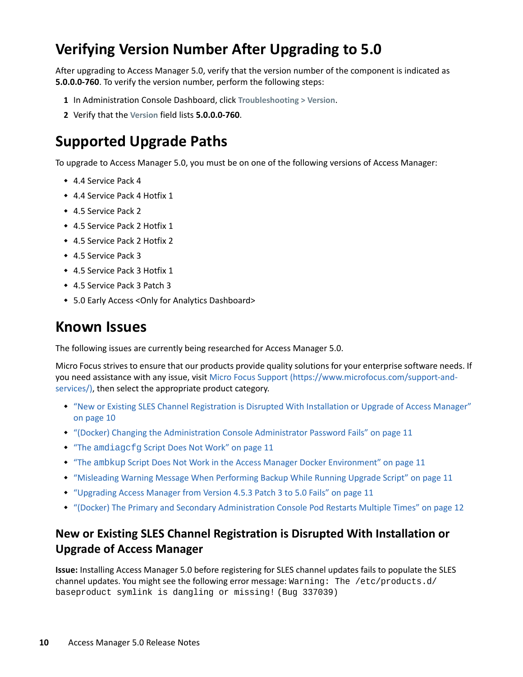# <span id="page-9-0"></span>**Verifying Version Number After Upgrading to 5.0**

After upgrading to Access Manager 5.0, verify that the version number of the component is indicated as **5.0.0.0-760**. To verify the version number, perform the following steps:

- **1** In Administration Console Dashboard, click **Troubleshooting > Version**.
- **2** Verify that the **Version** field lists **5.0.0.0-760**.

### <span id="page-9-1"></span>**Supported Upgrade Paths**

To upgrade to Access Manager 5.0, you must be on one of the following versions of Access Manager:

- 4.4 Service Pack 4
- 4.4 Service Pack 4 Hotfix 1
- ◆ 4.5 Service Pack 2
- 4.5 Service Pack 2 Hotfix 1
- 4.5 Service Pack 2 Hotfix 2
- 4.5 Service Pack 3
- 4.5 Service Pack 3 Hotfix 1
- 4.5 Service Pack 3 Patch 3
- 5.0 Early Access <Only for Analytics Dashboard>

### <span id="page-9-2"></span>**Known Issues**

The following issues are currently being researched for Access Manager 5.0.

Micro Focus strives to ensure that our products provide quality solutions for your enterprise software needs. If you need assistance with any issue, visit [Micro Focus Support](https://www.microfocus.com/support-and-services/) (https://www.microfocus.com/support-andservices/), then select the appropriate product category.

- ["New or Existing SLES Channel Registration is Disrupted With Installation or Upgrade of Access Manager"](#page-9-3)  [on page 10](#page-9-3)
- ["\(Docker\) Changing the Administration Console Administrator Password Fails" on page 11](#page-10-0)
- "The amdiagcfg [Script Does Not Work" on page 11](#page-10-1)
- "The ambkup [Script Does Not Work in the Access Manager Docker Environment" on page 11](#page-10-2)
- ["Misleading Warning Message When Performing Backup While Running Upgrade Script" on page 11](#page-10-3)
- ["Upgrading Access Manager from Version 4.5.3 Patch 3 to 5.0 Fails" on page 11](#page-10-4)
- ["\(Docker\) The Primary and Secondary Administration Console Pod Restarts Multiple Times" on page 12](#page-11-2)

### <span id="page-9-3"></span>**New or Existing SLES Channel Registration is Disrupted With Installation or Upgrade of Access Manager**

**Issue:** Installing Access Manager 5.0 before registering for SLES channel updates fails to populate the SLES channel updates. You might see the following error message: Warning: The /etc/products.d/ baseproduct symlink is dangling or missing! (Bug 337039)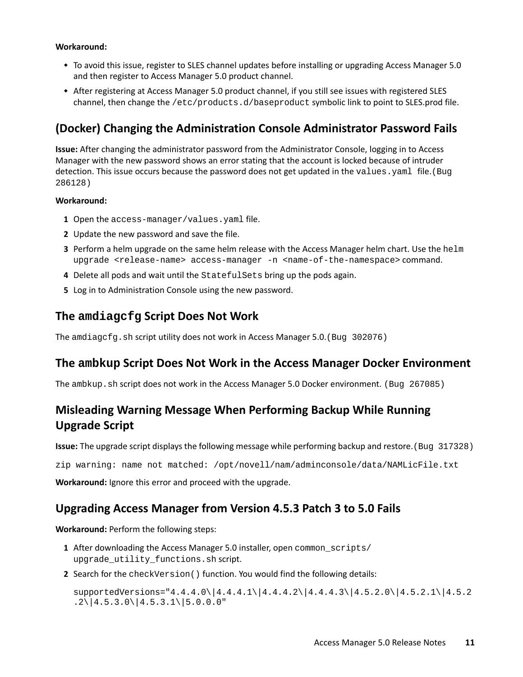#### **Workaround:**

- To avoid this issue, register to SLES channel updates before installing or upgrading Access Manager 5.0 and then register to Access Manager 5.0 product channel.
- After registering at Access Manager 5.0 product channel, if you still see issues with registered SLES channel, then change the /etc/products.d/baseproduct symbolic link to point to SLES.prod file.

#### <span id="page-10-0"></span>**(Docker) Changing the Administration Console Administrator Password Fails**

**Issue:** After changing the administrator password from the Administrator Console, logging in to Access Manager with the new password shows an error stating that the account is locked because of intruder detection. This issue occurs because the password does not get updated in the values. yaml file. (Bug 286128)

#### **Workaround:**

- **1** Open the access-manager/values.yaml file.
- **2** Update the new password and save the file.
- **3** Perform a helm upgrade on the same helm release with the Access Manager helm chart. Use the helm upgrade <release-name> access-manager -n <name-of-the-namespace> command.
- **4** Delete all pods and wait until the StatefulSets bring up the pods again.
- **5** Log in to Administration Console using the new password.

#### <span id="page-10-1"></span>**The amdiagcfg Script Does Not Work**

The amdiagcfg.sh script utility does not work in Access Manager 5.0.(Bug 302076)

#### <span id="page-10-2"></span>**The ambkup Script Does Not Work in the Access Manager Docker Environment**

The ambkup.sh script does not work in the Access Manager 5.0 Docker environment. (Bug 267085)

#### <span id="page-10-3"></span>**Misleading Warning Message When Performing Backup While Running Upgrade Script**

**Issue:** The upgrade script displays the following message while performing backup and restore.(Bug 317328)

zip warning: name not matched: /opt/novell/nam/adminconsole/data/NAMLicFile.txt

**Workaround:** Ignore this error and proceed with the upgrade.

#### <span id="page-10-4"></span>**Upgrading Access Manager from Version 4.5.3 Patch 3 to 5.0 Fails**

**Workaround:** Perform the following steps:

- **1** After downloading the Access Manager 5.0 installer, open common scripts/ upgrade\_utility\_functions.sh script.
- **2** Search for the checkVersion() function. You would find the following details:

 $supportedVersions = "4.4.4.0 \ | 4.4.4.1 \ | 4.4.4.2 \ | 4.4.4.3 \ | 4.5.2.0 \ | 4.5.2.1 \ | 4.5.2$  $.2\{\|4.5.3.0\}\|4.5.3.1\|5.0.0.0\$